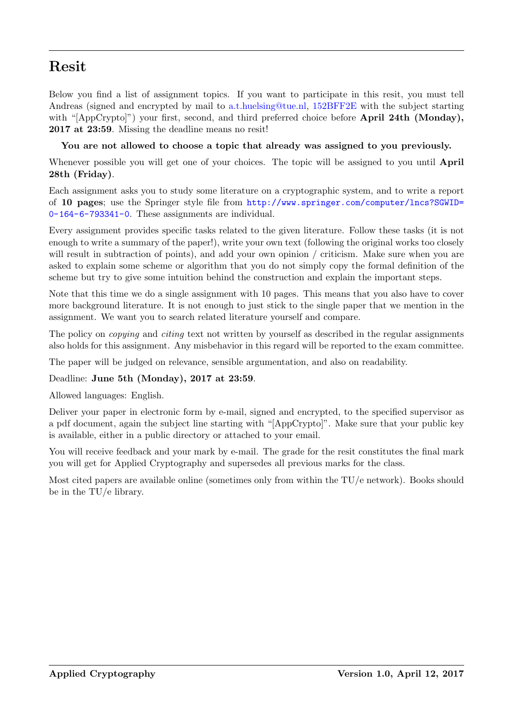# Resit

Below you find a list of assignment topics. If you want to participate in this resit, you must tell Andreas (signed and encrypted by mail to [a.t.huelsing@tue.nl,](mailto:a.t.huelsing@tue.nl) [152BFF2E](http://www.win.tue.nl/applied_crypto/2015/Andreas%20Huelsing%20(0x152BFF2E)%20pub.asc) with the subject starting with "[AppCrypto]") your first, second, and third preferred choice before **April 24th (Monday)**, 2017 at 23:59. Missing the deadline means no resit!

## You are not allowed to choose a topic that already was assigned to you previously.

Whenever possible you will get one of your choices. The topic will be assigned to you until **April** 28th (Friday).

Each assignment asks you to study some literature on a cryptographic system, and to write a report of 10 pages; use the Springer style file from [http://www.springer.com/computer/lncs?SGWID=](http://www.springer.com/computer/lncs?SGWID=0-164-6-793341-0) [0-164-6-793341-0](http://www.springer.com/computer/lncs?SGWID=0-164-6-793341-0). These assignments are individual.

Every assignment provides specific tasks related to the given literature. Follow these tasks (it is not enough to write a summary of the paper!), write your own text (following the original works too closely will result in subtraction of points), and add your own opinion / criticism. Make sure when you are asked to explain some scheme or algorithm that you do not simply copy the formal definition of the scheme but try to give some intuition behind the construction and explain the important steps.

Note that this time we do a single assignment with 10 pages. This means that you also have to cover more background literature. It is not enough to just stick to the single paper that we mention in the assignment. We want you to search related literature yourself and compare.

The policy on *copying* and *citing* text not written by yourself as described in the regular assignments also holds for this assignment. Any misbehavior in this regard will be reported to the exam committee.

The paper will be judged on relevance, sensible argumentation, and also on readability.

## Deadline: June 5th (Monday), 2017 at 23:59.

Allowed languages: English.

Deliver your paper in electronic form by e-mail, signed and encrypted, to the specified supervisor as a pdf document, again the subject line starting with "[AppCrypto]". Make sure that your public key is available, either in a public directory or attached to your email.

You will receive feedback and your mark by e-mail. The grade for the resit constitutes the final mark you will get for Applied Cryptography and supersedes all previous marks for the class.

Most cited papers are available online (sometimes only from within the TU/e network). Books should be in the TU/e library.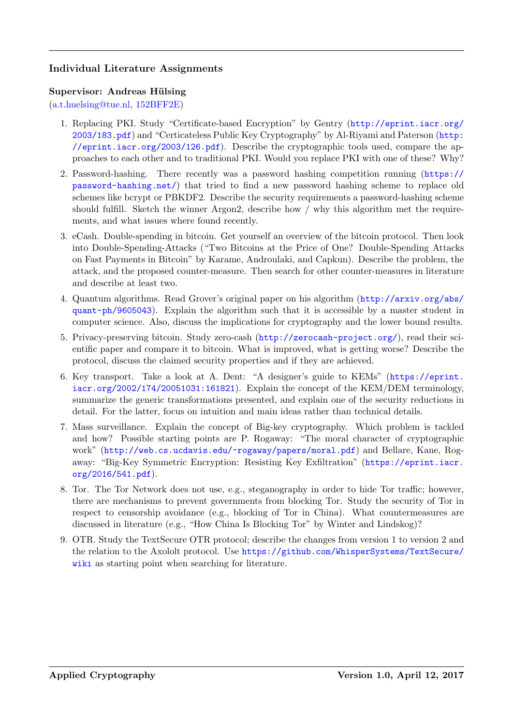## Individual Literature Assignments

#### Supervisor: Andreas Hülsing

[\(a.t.huelsing@tue.nl,](mailto:a.t.huelsing@tue.nl) [152BFF2E\)](http://www.win.tue.nl/applied_crypto/2015/Andreas%20Huelsing%20(0x152BFF2E)%20pub.asc)

- 1. Replacing PKI. Study "Certificate-based Encryption" by Gentry ([http://eprint.iacr.org/](http://eprint.iacr.org/2003/183.pdf) [2003/183.pdf](http://eprint.iacr.org/2003/183.pdf)) and "Certicateless Public Key Cryptography" by Al-Riyami and Paterson ([http:](http://eprint.iacr.org/2003/126.pdf) [//eprint.iacr.org/2003/126.pdf](http://eprint.iacr.org/2003/126.pdf)). Describe the cryptographic tools used, compare the approaches to each other and to traditional PKI. Would you replace PKI with one of these? Why?
- 2. Password-hashing. There recently was a password hashing competition running ([https://](https://password-hashing.net/) [password-hashing.net/](https://password-hashing.net/)) that tried to find a new password hashing scheme to replace old schemes like bcrypt or PBKDF2. Describe the security requirements a password-hashing scheme should fulfill. Sketch the winner Argon2, describe how / why this algorithm met the requirements, and what issues where found recently.
- 3. eCash. Double-spending in bitcoin. Get yourself an overview of the bitcoin protocol. Then look into Double-Spending-Attacks ("Two Bitcoins at the Price of One? Double-Spending Attacks on Fast Payments in Bitcoin" by Karame, Androulaki, and Capkun). Describe the problem, the attack, and the proposed counter-measure. Then search for other counter-measures in literature and describe at least two.
- 4. Quantum algorithms. Read Grover's original paper on his algorithm ([http://arxiv.org/abs/](http://arxiv.org/abs/quant-ph/9605043) [quant-ph/9605043](http://arxiv.org/abs/quant-ph/9605043)). Explain the algorithm such that it is accessible by a master student in computer science. Also, discuss the implications for cryptography and the lower bound results.
- 5. Privacy-preserving bitcoin. Study zero-cash (<http://zerocash-project.org/>), read their scientific paper and compare it to bitcoin. What is improved, what is getting worse? Describe the protocol, discuss the claimed security properties and if they are achieved.
- 6. Key transport. Take a look at A. Dent: "A designer's guide to KEMs" ([https://eprint.](https://eprint.iacr.org/2002/174/20051031:161821) [iacr.org/2002/174/20051031:161821](https://eprint.iacr.org/2002/174/20051031:161821)). Explain the concept of the KEM/DEM terminology, summarize the generic transformations presented, and explain one of the security reductions in detail. For the latter, focus on intuition and main ideas rather than technical details.
- 7. Mass surveillance. Explain the concept of Big-key cryptography. Which problem is tackled and how? Possible starting points are P. Rogaway: "The moral character of cryptographic work" (<http://web.cs.ucdavis.edu/~rogaway/papers/moral.pdf>) and Bellare, Kane, Rogaway: "Big-Key Symmetric Encryption: Resisting Key Exfiltration" ([https://eprint.iacr.](https://eprint.iacr.org/2016/541.pdf) [org/2016/541.pdf](https://eprint.iacr.org/2016/541.pdf)).
- 8. Tor. The Tor Network does not use, e.g., steganography in order to hide Tor traffic; however, there are mechanisms to prevent governments from blocking Tor. Study the security of Tor in respect to censorship avoidance (e.g., blocking of Tor in China). What countermeasures are discussed in literature (e.g., "How China Is Blocking Tor" by Winter and Lindskog)?
- 9. OTR. Study the TextSecure OTR protocol; describe the changes from version 1 to version 2 and the relation to the Axololt protocol. Use [https://github.com/WhisperSystems/TextSecure/](https://github.com/WhisperSystems/TextSecure/wiki) [wiki](https://github.com/WhisperSystems/TextSecure/wiki) as starting point when searching for literature.